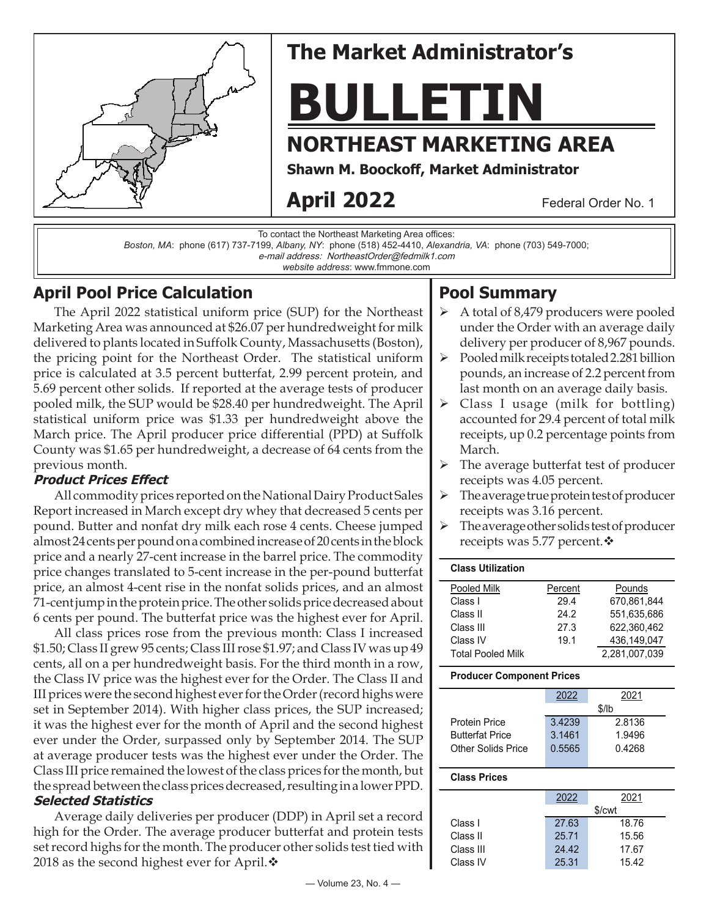

# **The Market Administrator's**

**BULLETIN**

# **NORTHEAST MARKETING AREA**

**Shawn M. Boockoff , Market Administrator**

# **April 2022**

Federal Order No. 1

To contact the Northeast Marketing Area offices:

*Boston, MA*: phone (617) 737-7199, *Albany, NY*: phone (518) 452-4410, *Alexandria, VA*: phone (703) 549-7000;

e-mail address: NortheastOrder@fedmilk1.com

*website address*: www.fmmone.com

## **April Pool Price Calculation**

The April 2022 statistical uniform price (SUP) for the Northeast Marketing Area was announced at \$26.07 per hundredweight for milk delivered to plants located in Suffolk County, Massachusetts (Boston), the pricing point for the Northeast Order. The statistical uniform price is calculated at 3.5 percent butterfat, 2.99 percent protein, and 5.69 percent other solids. If reported at the average tests of producer pooled milk, the SUP would be \$28.40 per hundredweight. The April statistical uniform price was \$1.33 per hundredweight above the March price. The April producer price differential (PPD) at Suffolk County was \$1.65 per hundredweight, a decrease of 64 cents from the previous month.

### **Product Prices Eff ect**

All commodity prices reported on the National Dairy Product Sales Report increased in March except dry whey that decreased 5 cents per pound. Butter and nonfat dry milk each rose 4 cents. Cheese jumped almost 24 cents per pound on a combined increase of 20 cents in the block price and a nearly 27-cent increase in the barrel price. The commodity price changes translated to 5-cent increase in the per-pound butterfat price, an almost 4-cent rise in the nonfat solids prices, and an almost 71-cent jump in the protein price. The other solids price decreased about 6 cents per pound. The butterfat price was the highest ever for April.

All class prices rose from the previous month: Class I increased \$1.50; Class II grew 95 cents; Class III rose \$1.97; and Class IV was up 49 cents, all on a per hundredweight basis. For the third month in a row, the Class IV price was the highest ever for the Order. The Class II and III prices were the second highest ever for the Order (record highs were set in September 2014). With higher class prices, the SUP increased; it was the highest ever for the month of April and the second highest ever under the Order, surpassed only by September 2014. The SUP at average producer tests was the highest ever under the Order. The Class III price remained the lowest of the class prices for the month, but the spread between the class prices decreased, resulting in a lower PPD. **Selected Statistics**

Average daily deliveries per producer (DDP) in April set a record high for the Order. The average producer butterfat and protein tests set record highs for the month. The producer other solids test tied with 2018 as the second highest ever for April. $\mathbf{\hat{*}}$ 

## **Pool Summary**

- A total of 8,479 producers were pooled under the Order with an average daily delivery per producer of 8,967 pounds.
- $\triangleright$  Pooled milk receipts totaled 2.281 billion pounds, an increase of 2.2 percent from last month on an average daily basis.
- $\triangleright$  Class I usage (milk for bottling) accounted for 29.4 percent of total milk receipts, up 0.2 percentage points from March.
- $\triangleright$  The average butterfat test of producer receipts was 4.05 percent.
- $\triangleright$  The average true protein test of producer receipts was 3.16 percent.
- The average other solids test of producer receipts was 5.77 percent.  $\diamond$

| <b>Class Utilization</b> |         |               |
|--------------------------|---------|---------------|
| Pooled Milk              | Percent | Pounds        |
| Class I                  | 29.4    | 670.861.844   |
| Class II                 | 24.2    | 551.635.686   |
| Class III                | 27.3    | 622.360.462   |
| Class IV                 | 19.1    | 436,149,047   |
| Total Pooled Milk        |         | 2.281.007.039 |

#### **Producer Component Prices**

|                        | 2022   | 2021   |  |
|------------------------|--------|--------|--|
|                        | \$/lb  |        |  |
| Protein Price          | 3.4239 | 2.8136 |  |
| <b>Butterfat Price</b> | 3.1461 | 1.9496 |  |
| Other Solids Price     | 0.5565 | 0.4268 |  |
|                        |        |        |  |

### **Class Prices**

| \$/cwt |  |  |
|--------|--|--|
|        |  |  |
|        |  |  |
|        |  |  |
|        |  |  |
|        |  |  |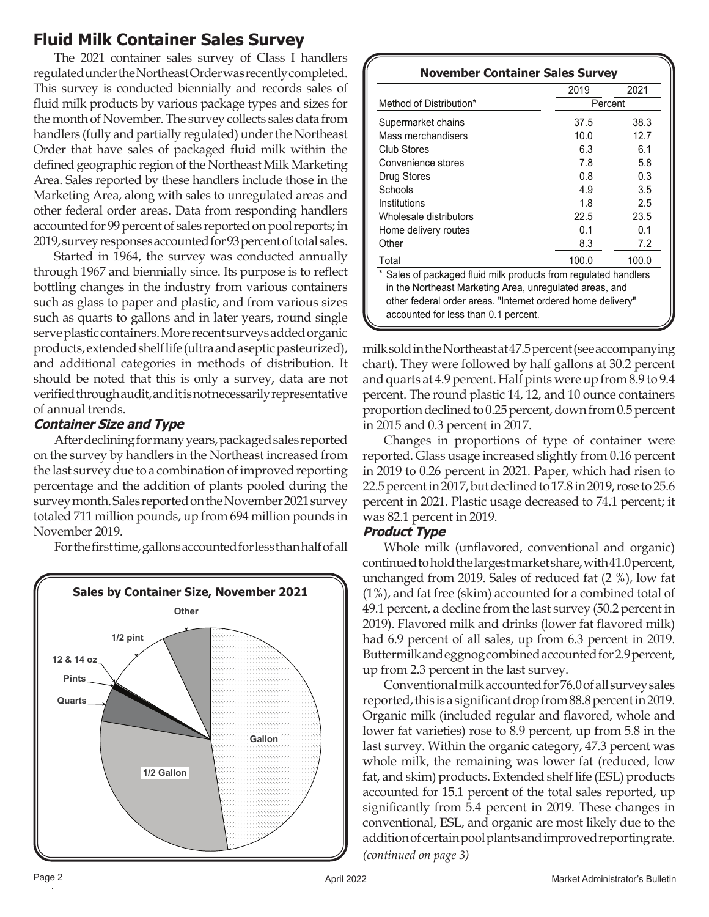## **Fluid Milk Container Sales Survey**

The 2021 container sales survey of Class I handlers regulated under the Northeast Order was recently completed. This survey is conducted biennially and records sales of fluid milk products by various package types and sizes for the month of November. The survey collects sales data from handlers (fully and partially regulated) under the Northeast Order that have sales of packaged fluid milk within the defined geographic region of the Northeast Milk Marketing Area. Sales reported by these handlers include those in the Marketing Area, along with sales to unregulated areas and other federal order areas. Data from responding handlers accounted for 99 percent of sales reported on pool reports; in 2019, survey responses accounted for 93 percent of total sales.

Started in 1964, the survey was conducted annually through 1967 and biennially since. Its purpose is to reflect bottling changes in the industry from various containers such as glass to paper and plastic, and from various sizes such as quarts to gallons and in later years, round single serve plastic containers. More recent surveys added organic products, extended shelf life (ultra and aseptic pasteurized), and additional categories in methods of distribution. It should be noted that this is only a survey, data are not verified through audit, and it is not necessarily representative of annual trends.

### **Container Size and Type**

After declining for many years, packaged sales reported on the survey by handlers in the Northeast increased from the last survey due to a combination of improved reporting percentage and the addition of plants pooled during the survey month. Sales reported on the November 2021 survey totaled 711 million pounds, up from 694 million pounds in November 2019.

For the first time, gallons accounted for less than half of all



#### **November Container Sales Survey**

|                                                               | 2019  | 2021    |  |  |  |  |
|---------------------------------------------------------------|-------|---------|--|--|--|--|
| Method of Distribution*                                       |       | Percent |  |  |  |  |
| Supermarket chains                                            | 37.5  | 38.3    |  |  |  |  |
| Mass merchandisers                                            | 10.0  | 12.7    |  |  |  |  |
| Club Stores                                                   | 6.3   | 6.1     |  |  |  |  |
| Convenience stores                                            | 7.8   | 5.8     |  |  |  |  |
| Drug Stores                                                   | 0.8   | 0.3     |  |  |  |  |
| Schools                                                       | 4.9   | 3.5     |  |  |  |  |
| Institutions                                                  | 1.8   | 2.5     |  |  |  |  |
| Wholesale distributors                                        | 22.5  | 23.5    |  |  |  |  |
| Home delivery routes                                          | 0.1   | 0.1     |  |  |  |  |
| Other                                                         | 8.3   | 7.2     |  |  |  |  |
| Total                                                         | 100.0 | 100.0   |  |  |  |  |
| Sales of packaged fluid milk products from regulated handlers |       |         |  |  |  |  |
| in the Northeast Marketing Area, unregulated areas, and       |       |         |  |  |  |  |
| other federal order areas. "Internet ordered home delivery"   |       |         |  |  |  |  |
| accounted for less than 0.1 percent.                          |       |         |  |  |  |  |

milk sold in the Northeast at 47.5 percent (see accompanying chart). They were followed by half gallons at 30.2 percent and quarts at 4.9 percent. Half pints were up from 8.9 to 9.4 percent. The round plastic 14, 12, and 10 ounce containers proportion declined to 0.25 percent, down from 0.5 percent in 2015 and 0.3 percent in 2017.

Changes in proportions of type of container were reported. Glass usage increased slightly from 0.16 percent in 2019 to 0.26 percent in 2021. Paper, which had risen to 22.5 percent in 2017, but declined to 17.8 in 2019, rose to 25.6 percent in 2021. Plastic usage decreased to 74.1 percent; it was 82.1 percent in 2019.

#### **Product Type**

Whole milk (unflavored, conventional and organic) continued to hold the largest market share, with 41.0 percent, unchanged from 2019. Sales of reduced fat (2 %), low fat (1%), and fat free (skim) accounted for a combined total of 49.1 percent, a decline from the last survey (50.2 percent in 2019). Flavored milk and drinks (lower fat flavored milk) had 6.9 percent of all sales, up from 6.3 percent in 2019. Buttermilk and eggnog combined accounted for 2.9 percent, up from 2.3 percent in the last survey.

*(continued on page 3)* Conventional milk accounted for 76.0 of all survey sales reported, this is a significant drop from 88.8 percent in 2019. Organic milk (included regular and flavored, whole and lower fat varieties) rose to 8.9 percent, up from 5.8 in the last survey. Within the organic category, 47.3 percent was whole milk, the remaining was lower fat (reduced, low fat, and skim) products. Extended shelf life (ESL) products accounted for 15.1 percent of the total sales reported, up significantly from 5.4 percent in 2019. These changes in conventional, ESL, and organic are most likely due to the addition of certain pool plants and improved reporting rate.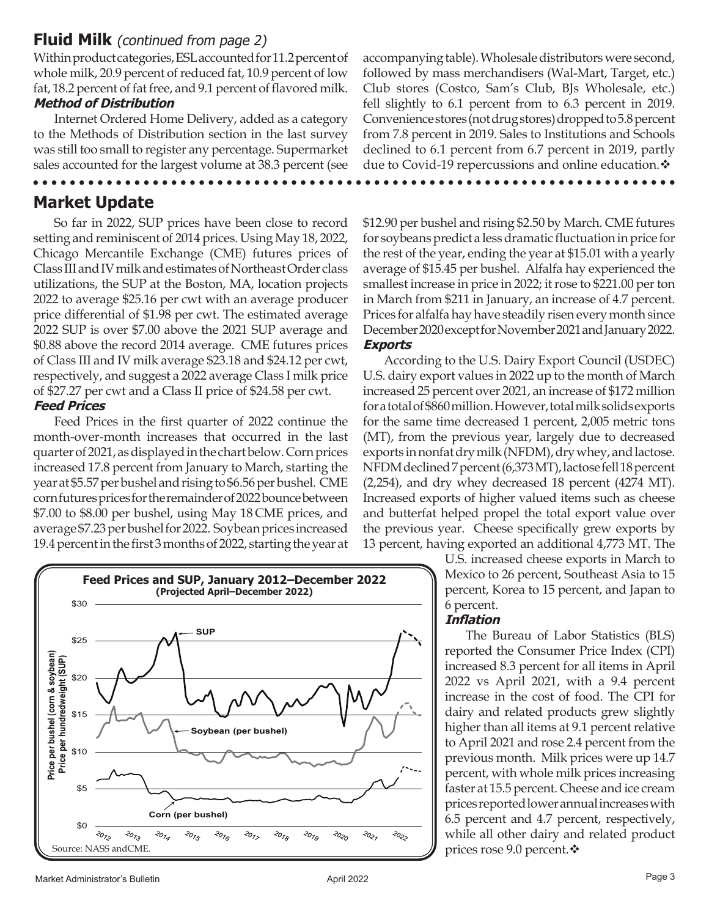### **Fluid Milk** (continued from page 2)

Within product categories, ESL accounted for 11.2 percent of whole milk, 20.9 percent of reduced fat, 10.9 percent of low fat, 18.2 percent of fat free, and 9.1 percent of flavored milk. **Method of Distribution**

Internet Ordered Home Delivery, added as a category to the Methods of Distribution section in the last survey was still too small to register any percentage. Supermarket sales accounted for the largest volume at 38.3 percent (see

. . . . . . . . .

## **Market Update**

So far in 2022, SUP prices have been close to record setting and reminiscent of 2014 prices. Using May 18, 2022, Chicago Mercantile Exchange (CME) futures prices of Class III and IV milk and estimates of Northeast Order class utilizations, the SUP at the Boston, MA, location projects 2022 to average \$25.16 per cwt with an average producer price differential of \$1.98 per cwt. The estimated average 2022 SUP is over \$7.00 above the 2021 SUP average and \$0.88 above the record 2014 average. CME futures prices of Class III and IV milk average \$23.18 and \$24.12 per cwt, respectively, and suggest a 2022 average Class I milk price of \$27.27 per cwt and a Class II price of \$24.58 per cwt. **Feed Prices**

Feed Prices in the first quarter of 2022 continue the month-over-month increases that occurred in the last quarter of 2021, as displayed in the chart below. Corn prices increased 17.8 percent from January to March, starting the year at \$5.57 per bushel and rising to \$6.56 per bushel. CME corn futures prices for the remainder of 2022 bounce between \$7.00 to \$8.00 per bushel, using May 18 CME prices, and average \$7.23 per bushel for 2022. Soybean prices increased 19.4 percent in the first 3 months of 2022, starting the year at



accompanying table). Wholesale distributors were second, followed by mass merchandisers (Wal-Mart, Target, etc.) Club stores (Costco, Sam's Club, BJs Wholesale, etc.) fell slightly to 6.1 percent from to 6.3 percent in 2019. Convenience stores (not drug stores) dropped to 5.8 percent from 7.8 percent in 2019. Sales to Institutions and Schools declined to 6.1 percent from 6.7 percent in 2019, partly due to Covid-19 repercussions and online education.

\$12.90 per bushel and rising \$2.50 by March. CME futures for soybeans predict a less dramatic fluctuation in price for the rest of the year, ending the year at \$15.01 with a yearly average of \$15.45 per bushel. Alfalfa hay experienced the smallest increase in price in 2022; it rose to \$221.00 per ton in March from \$211 in January, an increase of 4.7 percent. Prices for alfalfa hay have steadily risen every month since December 2020 except for November 2021 and January 2022. **Exports**

According to the U.S. Dairy Export Council (USDEC) U.S. dairy export values in 2022 up to the month of March increased 25 percent over 2021, an increase of \$172 million for a total of \$860 million. However, total milk solids exports for the same time decreased 1 percent, 2,005 metric tons (MT), from the previous year, largely due to decreased exports in nonfat dry milk (NFDM), dry whey, and lactose. NFDM declined 7 percent (6,373 MT), lactose fell 18 percent (2,254), and dry whey decreased 18 percent (4274 MT). Increased exports of higher valued items such as cheese and butterfat helped propel the total export value over the previous year. Cheese specifically grew exports by 13 percent, having exported an additional 4,773 MT. The

> U.S. increased cheese exports in March to Mexico to 26 percent, Southeast Asia to 15 percent, Korea to 15 percent, and Japan to 6 percent.

#### **Infl ation**

The Bureau of Labor Statistics (BLS) reported the Consumer Price Index (CPI) increased 8.3 percent for all items in April 2022 vs April 2021, with a 9.4 percent increase in the cost of food. The CPI for dairy and related products grew slightly higher than all items at 9.1 percent relative to April 2021 and rose 2.4 percent from the previous month. Milk prices were up 14.7 percent, with whole milk prices increasing faster at 15.5 percent. Cheese and ice cream prices reported lower annual increases with 6.5 percent and 4.7 percent, respectively, while all other dairy and related product prices rose 9.0 percent.